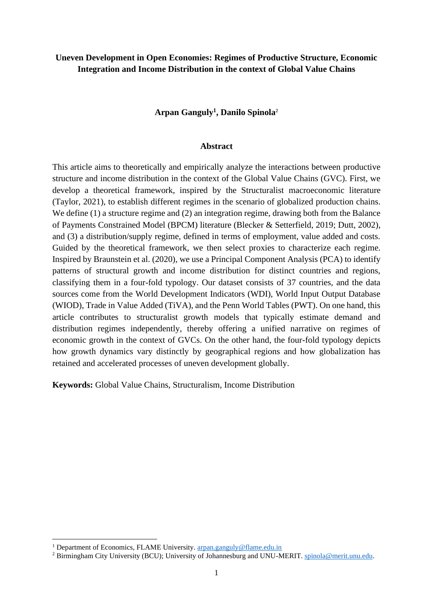# **Uneven Development in Open Economies: Regimes of Productive Structure, Economic Integration and Income Distribution in the context of Global Value Chains**

### **Arpan Ganguly<sup>1</sup> , Danilo Spinola**<sup>2</sup>

### **Abstract**

This article aims to theoretically and empirically analyze the interactions between productive structure and income distribution in the context of the Global Value Chains (GVC). First, we develop a theoretical framework, inspired by the Structuralist macroeconomic literature (Taylor, 2021), to establish different regimes in the scenario of globalized production chains. We define (1) a structure regime and (2) an integration regime, drawing both from the Balance of Payments Constrained Model (BPCM) literature (Blecker & Setterfield, 2019; Dutt, 2002), and (3) a distribution/supply regime, defined in terms of employment, value added and costs. Guided by the theoretical framework, we then select proxies to characterize each regime. Inspired by Braunstein et al. (2020), we use a Principal Component Analysis (PCA) to identify patterns of structural growth and income distribution for distinct countries and regions, classifying them in a four-fold typology. Our dataset consists of 37 countries, and the data sources come from the World Development Indicators (WDI), World Input Output Database (WIOD), Trade in Value Added (TiVA), and the Penn World Tables (PWT). On one hand, this article contributes to structuralist growth models that typically estimate demand and distribution regimes independently, thereby offering a unified narrative on regimes of economic growth in the context of GVCs. On the other hand, the four-fold typology depicts how growth dynamics vary distinctly by geographical regions and how globalization has retained and accelerated processes of uneven development globally.

**Keywords:** Global Value Chains, Structuralism, Income Distribution

<sup>&</sup>lt;sup>1</sup> Department of Economics, FLAME University. [arpan.ganguly@flame.edu.in](mailto:arpan.ganguly@flame.edu.in)

<sup>2</sup> Birmingham City University (BCU); University of Johannesburg and UNU-MERIT. [spinola@merit.unu.edu.](mailto:spinola@merit.unu.edu)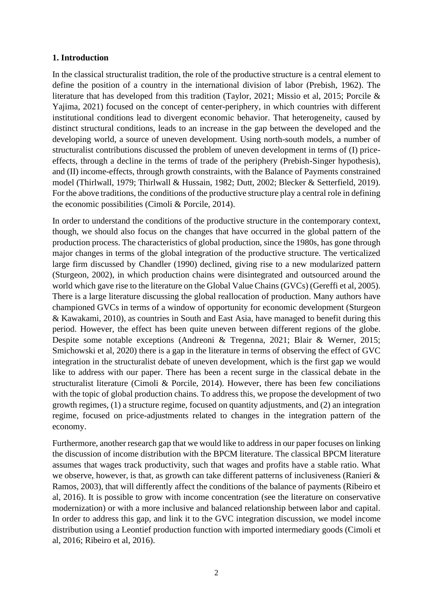## **1. Introduction**

In the classical structuralist tradition, the role of the productive structure is a central element to define the position of a country in the international division of labor (Prebish, 1962). The literature that has developed from this tradition (Taylor, 2021; Missio et al, 2015; Porcile & Yajima, 2021) focused on the concept of center-periphery, in which countries with different institutional conditions lead to divergent economic behavior. That heterogeneity, caused by distinct structural conditions, leads to an increase in the gap between the developed and the developing world, a source of uneven development. Using north-south models, a number of structuralist contributions discussed the problem of uneven development in terms of (I) priceeffects, through a decline in the terms of trade of the periphery (Prebish-Singer hypothesis), and (II) income-effects, through growth constraints, with the Balance of Payments constrained model (Thirlwall, 1979; Thirlwall & Hussain, 1982; Dutt, 2002; Blecker & Setterfield, 2019). For the above traditions, the conditions of the productive structure play a central role in defining the economic possibilities (Cimoli & Porcile, 2014).

In order to understand the conditions of the productive structure in the contemporary context, though, we should also focus on the changes that have occurred in the global pattern of the production process. The characteristics of global production, since the 1980s, has gone through major changes in terms of the global integration of the productive structure. The verticalized large firm discussed by Chandler (1990) declined, giving rise to a new modularized pattern (Sturgeon, 2002), in which production chains were disintegrated and outsourced around the world which gave rise to the literature on the Global Value Chains (GVCs) (Gereffi et al, 2005). There is a large literature discussing the global reallocation of production. Many authors have championed GVCs in terms of a window of opportunity for economic development (Sturgeon & Kawakami, 2010), as countries in South and East Asia, have managed to benefit during this period. However, the effect has been quite uneven between different regions of the globe. Despite some notable exceptions (Andreoni & Tregenna, 2021; Blair & Werner, 2015; Smichowski et al, 2020) there is a gap in the literature in terms of observing the effect of GVC integration in the structuralist debate of uneven development, which is the first gap we would like to address with our paper. There has been a recent surge in the classical debate in the structuralist literature (Cimoli & Porcile, 2014). However, there has been few conciliations with the topic of global production chains. To address this, we propose the development of two growth regimes, (1) a structure regime, focused on quantity adjustments, and (2) an integration regime, focused on price-adjustments related to changes in the integration pattern of the economy.

Furthermore, another research gap that we would like to address in our paper focuses on linking the discussion of income distribution with the BPCM literature. The classical BPCM literature assumes that wages track productivity, such that wages and profits have a stable ratio. What we observe, however, is that, as growth can take different patterns of inclusiveness (Ranieri & Ramos, 2003), that will differently affect the conditions of the balance of payments (Ribeiro et al, 2016). It is possible to grow with income concentration (see the literature on conservative modernization) or with a more inclusive and balanced relationship between labor and capital. In order to address this gap, and link it to the GVC integration discussion, we model income distribution using a Leontief production function with imported intermediary goods (Cimoli et al, 2016; Ribeiro et al, 2016).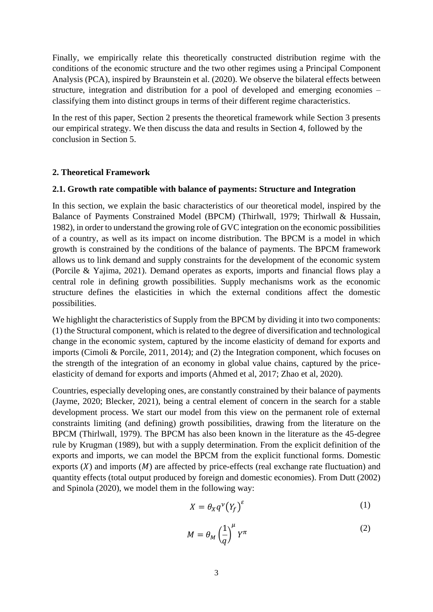Finally, we empirically relate this theoretically constructed distribution regime with the conditions of the economic structure and the two other regimes using a Principal Component Analysis (PCA), inspired by Braunstein et al. (2020). We observe the bilateral effects between structure, integration and distribution for a pool of developed and emerging economies – classifying them into distinct groups in terms of their different regime characteristics.

In the rest of this paper, Section 2 presents the theoretical framework while Section 3 presents our empirical strategy. We then discuss the data and results in Section 4, followed by the conclusion in Section 5.

### **2. Theoretical Framework**

### **2.1. Growth rate compatible with balance of payments: Structure and Integration**

In this section, we explain the basic characteristics of our theoretical model, inspired by the Balance of Payments Constrained Model (BPCM) (Thirlwall, 1979; Thirlwall & Hussain, 1982), in order to understand the growing role of GVC integration on the economic possibilities of a country, as well as its impact on income distribution. The BPCM is a model in which growth is constrained by the conditions of the balance of payments. The BPCM framework allows us to link demand and supply constraints for the development of the economic system (Porcile & Yajima, 2021). Demand operates as exports, imports and financial flows play a central role in defining growth possibilities. Supply mechanisms work as the economic structure defines the elasticities in which the external conditions affect the domestic possibilities.

We highlight the characteristics of Supply from the BPCM by dividing it into two components: (1) the Structural component, which is related to the degree of diversification and technological change in the economic system, captured by the income elasticity of demand for exports and imports (Cimoli & Porcile, 2011, 2014); and (2) the Integration component, which focuses on the strength of the integration of an economy in global value chains, captured by the priceelasticity of demand for exports and imports (Ahmed et al, 2017; Zhao et al, 2020).

Countries, especially developing ones, are constantly constrained by their balance of payments (Jayme, 2020; Blecker, 2021), being a central element of concern in the search for a stable development process. We start our model from this view on the permanent role of external constraints limiting (and defining) growth possibilities, drawing from the literature on the BPCM (Thirlwall, 1979). The BPCM has also been known in the literature as the 45-degree rule by Krugman (1989), but with a supply determination. From the explicit definition of the exports and imports, we can model the BPCM from the explicit functional forms. Domestic exports  $(X)$  and imports  $(M)$  are affected by price-effects (real exchange rate fluctuation) and quantity effects (total output produced by foreign and domestic economies). From Dutt (2002) and Spinola (2020), we model them in the following way:

$$
X = \theta_X q^{\nu} (Y_f)^{\varepsilon} \tag{1}
$$

$$
M = \theta_M \left(\frac{1}{q}\right)^{\mu} Y^{\pi} \tag{2}
$$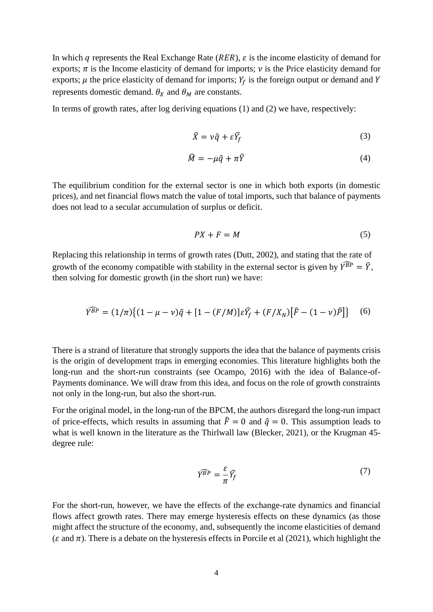In which q represents the Real Exchange Rate ( $RER$ ),  $\varepsilon$  is the income elasticity of demand for exports;  $\pi$  is the Income elasticity of demand for imports;  $\nu$  is the Price elasticity demand for exports;  $\mu$  the price elasticity of demand for imports;  $Y_f$  is the foreign output or demand and Y represents domestic demand.  $\theta_X$  and  $\theta_M$  are constants.

In terms of growth rates, after log deriving equations (1) and (2) we have, respectively:

$$
\hat{X} = \nu \hat{q} + \varepsilon \widehat{Y}_f \tag{3}
$$

$$
\widehat{M} = -\mu \widehat{q} + \pi \widehat{Y} \tag{4}
$$

The equilibrium condition for the external sector is one in which both exports (in domestic prices), and net financial flows match the value of total imports, such that balance of payments does not lead to a secular accumulation of surplus or deficit.

$$
PX + F = M \tag{5}
$$

Replacing this relationship in terms of growth rates (Dutt, 2002), and stating that the rate of growth of the economy compatible with stability in the external sector is given by  $\widehat{Y^{BP}} = \widehat{Y}$ , then solving for domestic growth (in the short run) we have:

$$
\widehat{Y^{BP}} = (1/\pi)\{(1-\mu-\nu)\widehat{q} + [1 - (F/M)]\varepsilon \widehat{Y_f} + (F/X_N)[\widehat{F} - (1-\nu)\widehat{P}]\} \tag{6}
$$

There is a strand of literature that strongly supports the idea that the balance of payments crisis is the origin of development traps in emerging economies. This literature highlights both the long-run and the short-run constraints (see Ocampo, 2016) with the idea of Balance-of-Payments dominance. We will draw from this idea, and focus on the role of growth constraints not only in the long-run, but also the short-run.

For the original model, in the long-run of the BPCM, the authors disregard the long-run impact of price-effects, which results in assuming that  $\hat{F} = 0$  and  $\hat{q} = 0$ . This assumption leads to what is well known in the literature as the Thirlwall law (Blecker, 2021), or the Krugman 45 degree rule:

$$
\widehat{Y^{BP}} = \frac{\varepsilon}{\pi} \widehat{Y}_f \tag{7}
$$

For the short-run, however, we have the effects of the exchange-rate dynamics and financial flows affect growth rates. There may emerge hysteresis effects on these dynamics (as those might affect the structure of the economy, and, subsequently the income elasticities of demand ( $\varepsilon$  and  $\pi$ ). There is a debate on the hysteresis effects in Porcile et al (2021), which highlight the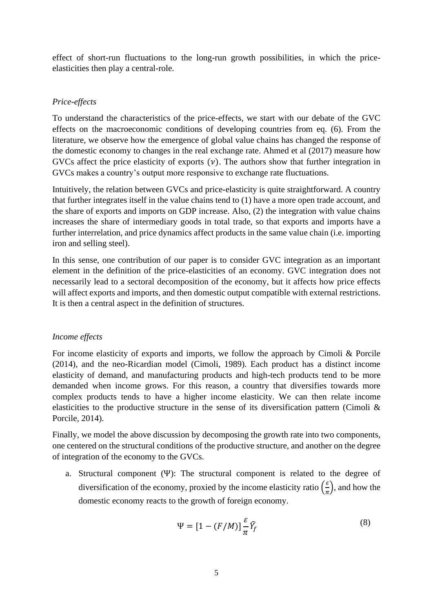effect of short-run fluctuations to the long-run growth possibilities, in which the priceelasticities then play a central-role.

## *Price-effects*

To understand the characteristics of the price-effects, we start with our debate of the GVC effects on the macroeconomic conditions of developing countries from eq. (6). From the literature, we observe how the emergence of global value chains has changed the response of the domestic economy to changes in the real exchange rate. Ahmed et al (2017) measure how GVCs affect the price elasticity of exports  $(v)$ . The authors show that further integration in GVCs makes a country's output more responsive to exchange rate fluctuations.

Intuitively, the relation between GVCs and price-elasticity is quite straightforward. A country that further integrates itself in the value chains tend to (1) have a more open trade account, and the share of exports and imports on GDP increase. Also, (2) the integration with value chains increases the share of intermediary goods in total trade, so that exports and imports have a further interrelation, and price dynamics affect products in the same value chain (i.e. importing iron and selling steel).

In this sense, one contribution of our paper is to consider GVC integration as an important element in the definition of the price-elasticities of an economy. GVC integration does not necessarily lead to a sectoral decomposition of the economy, but it affects how price effects will affect exports and imports, and then domestic output compatible with external restrictions. It is then a central aspect in the definition of structures.

# *Income effects*

For income elasticity of exports and imports, we follow the approach by Cimoli & Porcile (2014), and the neo-Ricardian model (Cimoli, 1989). Each product has a distinct income elasticity of demand, and manufacturing products and high-tech products tend to be more demanded when income grows. For this reason, a country that diversifies towards more complex products tends to have a higher income elasticity. We can then relate income elasticities to the productive structure in the sense of its diversification pattern (Cimoli  $\&$ Porcile, 2014).

Finally, we model the above discussion by decomposing the growth rate into two components, one centered on the structural conditions of the productive structure, and another on the degree of integration of the economy to the GVCs.

a. Structural component (Ψ): The structural component is related to the degree of diversification of the economy, proxied by the income elasticity ratio  $\left(\frac{\varepsilon}{\epsilon}\right)$  $\frac{\varepsilon}{\pi}$ , and how the domestic economy reacts to the growth of foreign economy.

$$
\Psi = [1 - (F/M)] \frac{\varepsilon}{\pi} \hat{Y}_f \tag{8}
$$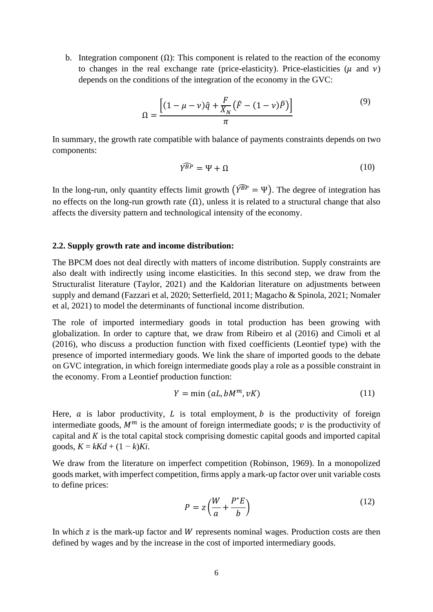b. Integration component  $(\Omega)$ : This component is related to the reaction of the economy to changes in the real exchange rate (price-elasticity). Price-elasticities ( $\mu$  and  $\nu$ ) depends on the conditions of the integration of the economy in the GVC:

$$
\Omega = \frac{\left[ (1 - \mu - \nu)\hat{q} + \frac{F}{X_N} (\hat{F} - (1 - \nu)\hat{P}) \right]}{\pi}
$$
\n(9)

In summary, the growth rate compatible with balance of payments constraints depends on two components:

$$
\widehat{Y^{BP}} = \Psi + \Omega \tag{10}
$$

In the long-run, only quantity effects limit growth  $(\widehat{Y^{BP}} = \Psi)$ . The degree of integration has no effects on the long-run growth rate  $(\Omega)$ , unless it is related to a structural change that also affects the diversity pattern and technological intensity of the economy.

### **2.2. Supply growth rate and income distribution:**

The BPCM does not deal directly with matters of income distribution. Supply constraints are also dealt with indirectly using income elasticities. In this second step, we draw from the Structuralist literature (Taylor, 2021) and the Kaldorian literature on adjustments between supply and demand (Fazzari et al, 2020; Setterfield, 2011; Magacho & Spinola, 2021; Nomaler et al, 2021) to model the determinants of functional income distribution.

The role of imported intermediary goods in total production has been growing with globalization. In order to capture that, we draw from Ribeiro et al (2016) and Cimoli et al (2016), who discuss a production function with fixed coefficients (Leontief type) with the presence of imported intermediary goods. We link the share of imported goods to the debate on GVC integration, in which foreign intermediate goods play a role as a possible constraint in the economy. From a Leontief production function:

$$
Y = \min(aL, bM^m, vK) \tag{11}
$$

Here,  $a$  is labor productivity,  $L$  is total employment,  $b$  is the productivity of foreign intermediate goods,  $M^m$  is the amount of foreign intermediate goods;  $v$  is the productivity of capital and  $K$  is the total capital stock comprising domestic capital goods and imported capital goods,  $K = kKd + (1 - k)Ki$ .

We draw from the literature on imperfect competition (Robinson, 1969). In a monopolized goods market, with imperfect competition, firms apply a mark-up factor over unit variable costs to define prices:

$$
P = z \left( \frac{W}{a} + \frac{P^* E}{b} \right) \tag{12}
$$

In which  $\bar{z}$  is the mark-up factor and  $W$  represents nominal wages. Production costs are then defined by wages and by the increase in the cost of imported intermediary goods.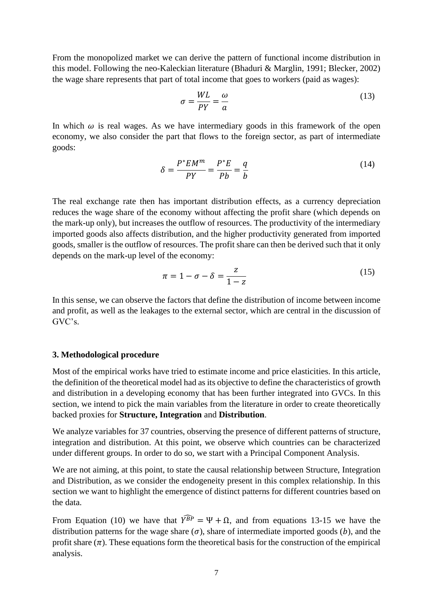From the monopolized market we can derive the pattern of functional income distribution in this model. Following the neo-Kaleckian literature (Bhaduri & Marglin, 1991; Blecker, 2002) the wage share represents that part of total income that goes to workers (paid as wages):

$$
\sigma = \frac{WL}{PY} = \frac{\omega}{a} \tag{13}
$$

In which  $\omega$  is real wages. As we have intermediary goods in this framework of the open economy, we also consider the part that flows to the foreign sector, as part of intermediate goods:

$$
\delta = \frac{P^* E M^m}{PY} = \frac{P^* E}{P b} = \frac{q}{b} \tag{14}
$$

The real exchange rate then has important distribution effects, as a currency depreciation reduces the wage share of the economy without affecting the profit share (which depends on the mark-up only), but increases the outflow of resources. The productivity of the intermediary imported goods also affects distribution, and the higher productivity generated from imported goods, smaller is the outflow of resources. The profit share can then be derived such that it only depends on the mark-up level of the economy:

$$
\pi = 1 - \sigma - \delta = \frac{z}{1 - z} \tag{15}
$$

In this sense, we can observe the factors that define the distribution of income between income and profit, as well as the leakages to the external sector, which are central in the discussion of GVC's.

#### **3. Methodological procedure**

Most of the empirical works have tried to estimate income and price elasticities. In this article, the definition of the theoretical model had as its objective to define the characteristics of growth and distribution in a developing economy that has been further integrated into GVCs. In this section, we intend to pick the main variables from the literature in order to create theoretically backed proxies for **Structure, Integration** and **Distribution**.

We analyze variables for 37 countries, observing the presence of different patterns of structure, integration and distribution. At this point, we observe which countries can be characterized under different groups. In order to do so, we start with a Principal Component Analysis.

We are not aiming, at this point, to state the causal relationship between Structure, Integration and Distribution, as we consider the endogeneity present in this complex relationship. In this section we want to highlight the emergence of distinct patterns for different countries based on the data.

From Equation (10) we have that  $\widehat{Y^{BP}} = \Psi + \Omega$ , and from equations 13-15 we have the distribution patterns for the wage share  $(\sigma)$ , share of intermediate imported goods (b), and the profit share  $(\pi)$ . These equations form the theoretical basis for the construction of the empirical analysis.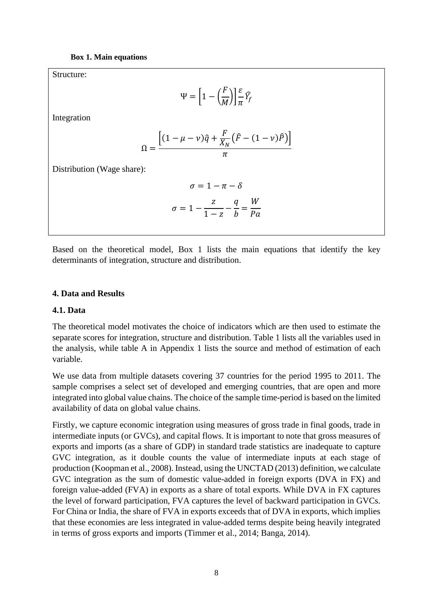Structure:

$$
\Psi = \left[1 - \left(\frac{F}{M}\right)\right] \frac{\varepsilon}{\pi} \widehat{Y}_f
$$

Integration

$$
\Omega = \frac{\left[ (1 - \mu - \nu)\hat{q} + \frac{F}{X_N} \left( \hat{F} - (1 - \nu)\hat{P} \right) \right]}{\pi}
$$

Distribution (Wage share):

$$
\sigma = 1 - \pi - \delta
$$

$$
\sigma = 1 - \frac{z}{1 - z} - \frac{q}{b} = \frac{W}{Pa}
$$

Based on the theoretical model, Box 1 lists the main equations that identify the key determinants of integration, structure and distribution.

# **4. Data and Results**

### **4.1. Data**

The theoretical model motivates the choice of indicators which are then used to estimate the separate scores for integration, structure and distribution. Table 1 lists all the variables used in the analysis, while table A in Appendix 1 lists the source and method of estimation of each variable.

We use data from multiple datasets covering 37 countries for the period 1995 to 2011. The sample comprises a select set of developed and emerging countries, that are open and more integrated into global value chains. The choice of the sample time-period is based on the limited availability of data on global value chains.

Firstly, we capture economic integration using measures of gross trade in final goods, trade in intermediate inputs (or GVCs), and capital flows. It is important to note that gross measures of exports and imports (as a share of GDP) in standard trade statistics are inadequate to capture GVC integration, as it double counts the value of intermediate inputs at each stage of production (Koopman et al., 2008). Instead, using the UNCTAD (2013) definition, we calculate GVC integration as the sum of domestic value-added in foreign exports (DVA in FX) and foreign value-added (FVA) in exports as a share of total exports. While DVA in FX captures the level of forward participation, FVA captures the level of backward participation in GVCs. For China or India, the share of FVA in exports exceeds that of DVA in exports, which implies that these economies are less integrated in value-added terms despite being heavily integrated in terms of gross exports and imports (Timmer et al., 2014; Banga, 2014).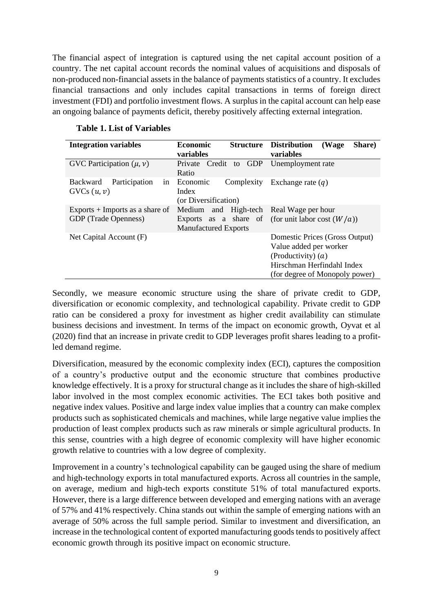The financial aspect of integration is captured using the net capital account position of a country. The net capital account records the nominal values of acquisitions and disposals of non-produced non-financial assets in the balance of payments statistics of a country. It excludes financial transactions and only includes capital transactions in terms of foreign direct investment (FDI) and portfolio investment flows. A surplus in the capital account can help ease an ongoing balance of payments deficit, thereby positively affecting external integration.

| <b>Integration variables</b>           | <b>Economic</b><br><b>Structure</b>     | <b>Distribution</b><br>Share)<br>(Wage               |
|----------------------------------------|-----------------------------------------|------------------------------------------------------|
|                                        | variables                               | variables                                            |
| GVC Participation $(\mu, \nu)$         | GDP<br>Credit<br>Private<br>to          | Unemployment rate                                    |
|                                        | Ratio                                   |                                                      |
| Participation<br><b>Backward</b><br>in | Economic<br>Complexity                  | Exchange rate $(q)$                                  |
| GVCs $(u, v)$                          | Index                                   |                                                      |
|                                        | (or Diversification)                    |                                                      |
| Exports $+$ Imports as a share of      | Medium and High-tech Real Wage per hour |                                                      |
| <b>GDP</b> (Trade Openness)            |                                         | Exports as a share of (for unit labor cost $(W/a)$ ) |
|                                        | <b>Manufactured Exports</b>             |                                                      |
| Net Capital Account (F)                |                                         | Domestic Prices (Gross Output)                       |
|                                        |                                         | Value added per worker                               |
|                                        |                                         | (Productivity) $(a)$                                 |
|                                        |                                         | Hirschman Herfindahl Index                           |
|                                        |                                         | (for degree of Monopoly power)                       |

# **Table 1. List of Variables**

Secondly, we measure economic structure using the share of private credit to GDP, diversification or economic complexity, and technological capability. Private credit to GDP ratio can be considered a proxy for investment as higher credit availability can stimulate business decisions and investment. In terms of the impact on economic growth, Oyvat et al (2020) find that an increase in private credit to GDP leverages profit shares leading to a profitled demand regime.

Diversification, measured by the economic complexity index (ECI), captures the composition of a country's productive output and the economic structure that combines productive knowledge effectively. It is a proxy for structural change as it includes the share of high-skilled labor involved in the most complex economic activities. The ECI takes both positive and negative index values. Positive and large index value implies that a country can make complex products such as sophisticated chemicals and machines, while large negative value implies the production of least complex products such as raw minerals or simple agricultural products. In this sense, countries with a high degree of economic complexity will have higher economic growth relative to countries with a low degree of complexity.

Improvement in a country's technological capability can be gauged using the share of medium and high-technology exports in total manufactured exports. Across all countries in the sample, on average, medium and high-tech exports constitute 51% of total manufactured exports. However, there is a large difference between developed and emerging nations with an average of 57% and 41% respectively. China stands out within the sample of emerging nations with an average of 50% across the full sample period. Similar to investment and diversification, an increase in the technological content of exported manufacturing goods tends to positively affect economic growth through its positive impact on economic structure.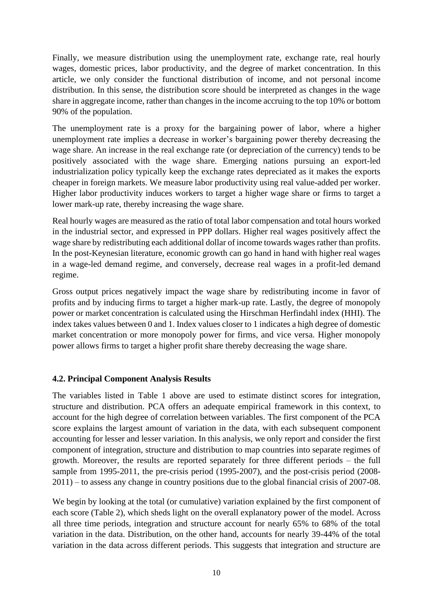Finally, we measure distribution using the unemployment rate, exchange rate, real hourly wages, domestic prices, labor productivity, and the degree of market concentration. In this article, we only consider the functional distribution of income, and not personal income distribution. In this sense, the distribution score should be interpreted as changes in the wage share in aggregate income, rather than changes in the income accruing to the top 10% or bottom 90% of the population.

The unemployment rate is a proxy for the bargaining power of labor, where a higher unemployment rate implies a decrease in worker's bargaining power thereby decreasing the wage share. An increase in the real exchange rate (or depreciation of the currency) tends to be positively associated with the wage share. Emerging nations pursuing an export-led industrialization policy typically keep the exchange rates depreciated as it makes the exports cheaper in foreign markets. We measure labor productivity using real value-added per worker. Higher labor productivity induces workers to target a higher wage share or firms to target a lower mark-up rate, thereby increasing the wage share.

Real hourly wages are measured as the ratio of total labor compensation and total hours worked in the industrial sector, and expressed in PPP dollars. Higher real wages positively affect the wage share by redistributing each additional dollar of income towards wages rather than profits. In the post-Keynesian literature, economic growth can go hand in hand with higher real wages in a wage-led demand regime, and conversely, decrease real wages in a profit-led demand regime.

Gross output prices negatively impact the wage share by redistributing income in favor of profits and by inducing firms to target a higher mark-up rate. Lastly, the degree of monopoly power or market concentration is calculated using the Hirschman Herfindahl index (HHI). The index takes values between 0 and 1. Index values closer to 1 indicates a high degree of domestic market concentration or more monopoly power for firms, and vice versa. Higher monopoly power allows firms to target a higher profit share thereby decreasing the wage share.

# **4.2. Principal Component Analysis Results**

The variables listed in Table 1 above are used to estimate distinct scores for integration, structure and distribution. PCA offers an adequate empirical framework in this context, to account for the high degree of correlation between variables. The first component of the PCA score explains the largest amount of variation in the data, with each subsequent component accounting for lesser and lesser variation. In this analysis, we only report and consider the first component of integration, structure and distribution to map countries into separate regimes of growth. Moreover, the results are reported separately for three different periods – the full sample from 1995-2011, the pre-crisis period (1995-2007), and the post-crisis period (2008- 2011) – to assess any change in country positions due to the global financial crisis of 2007-08.

We begin by looking at the total (or cumulative) variation explained by the first component of each score (Table 2), which sheds light on the overall explanatory power of the model. Across all three time periods, integration and structure account for nearly 65% to 68% of the total variation in the data. Distribution, on the other hand, accounts for nearly 39-44% of the total variation in the data across different periods. This suggests that integration and structure are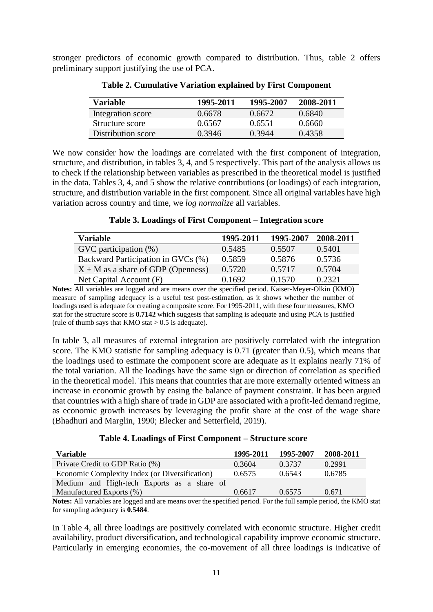stronger predictors of economic growth compared to distribution. Thus, table 2 offers preliminary support justifying the use of PCA.

| Variable           | 1995-2011 | 1995-2007 | 2008-2011 |
|--------------------|-----------|-----------|-----------|
| Integration score  | 0.6678    | 0.6672    | 0.6840    |
| Structure score    | 0.6567    | 0.6551    | 0.6660    |
| Distribution score | 0.3946    | 0.3944    | 0.4358    |

|  |  | <b>Table 2. Cumulative Variation explained by First Component</b> |
|--|--|-------------------------------------------------------------------|
|  |  |                                                                   |

We now consider how the loadings are correlated with the first component of integration, structure, and distribution, in tables 3, 4, and 5 respectively. This part of the analysis allows us to check if the relationship between variables as prescribed in the theoretical model is justified in the data. Tables 3, 4, and 5 show the relative contributions (or loadings) of each integration, structure, and distribution variable in the first component. Since all original variables have high variation across country and time, we *log normalize* all variables.

**Table 3. Loadings of First Component – Integration score**

| <b>Variable</b>                      | 1995-2011 | 1995-2007 | 2008-2011 |
|--------------------------------------|-----------|-----------|-----------|
| $\rm GVC$ participation $(\%)$       | 0.5485    | 0.5507    | 0.5401    |
| Backward Participation in GVCs (%)   | 0.5859    | 0.5876    | 0.5736    |
| $X + M$ as a share of GDP (Openness) | 0.5720    | 0.5717    | 0.5704    |
| Net Capital Account (F)              | 0.1692    | 0.1570    | 0.2321    |

**Notes:** All variables are logged and are means over the specified period. Kaiser-Meyer-Olkin (KMO) measure of sampling adequacy is a useful test post-estimation, as it shows whether the number of loadings used is adequate for creating a composite score. For 1995-2011, with these four measures, KMO stat for the structure score is **0.7142** which suggests that sampling is adequate and using PCA is justified (rule of thumb says that KMO stat  $> 0.5$  is adequate).

In table 3, all measures of external integration are positively correlated with the integration score. The KMO statistic for sampling adequacy is 0.71 (greater than 0.5), which means that the loadings used to estimate the component score are adequate as it explains nearly 71% of the total variation. All the loadings have the same sign or direction of correlation as specified in the theoretical model. This means that countries that are more externally oriented witness an increase in economic growth by easing the balance of payment constraint. It has been argued that countries with a high share of trade in GDP are associated with a profit-led demand regime, as economic growth increases by leveraging the profit share at the cost of the wage share (Bhadhuri and Marglin, 1990; Blecker and Setterfield, 2019).

|  | Table 4. Loadings of First Component - Structure score |
|--|--------------------------------------------------------|
|--|--------------------------------------------------------|

| Variable                                       | 1995-2011 | 1995-2007 | 2008-2011 |
|------------------------------------------------|-----------|-----------|-----------|
| Private Credit to GDP Ratio (%)                | 0.3604    | 0.3737    | 0.2991    |
| Economic Complexity Index (or Diversification) | 0.6575    | 0.6543    | 0.6785    |
| Medium and High-tech Exports as a share of     |           |           |           |
| Manufactured Exports (%)                       | 0.6617    | 0.6575    | 0.671     |

**Notes:** All variables are logged and are means over the specified period. For the full sample period, the KMO stat for sampling adequacy is **0.5484**.

In Table 4, all three loadings are positively correlated with economic structure. Higher credit availability, product diversification, and technological capability improve economic structure. Particularly in emerging economies, the co-movement of all three loadings is indicative of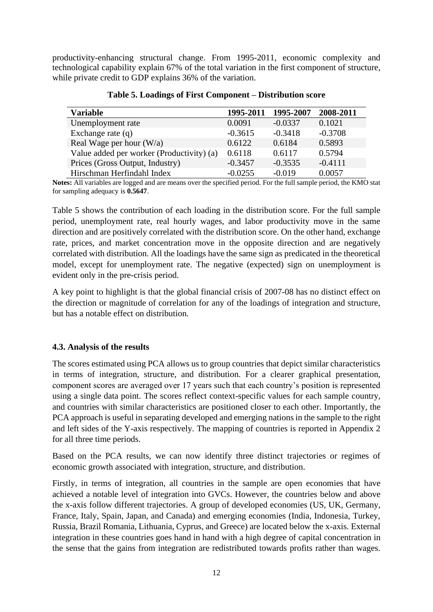productivity-enhancing structural change. From 1995-2011, economic complexity and technological capability explain 67% of the total variation in the first component of structure, while private credit to GDP explains 36% of the variation.

| <b>Variable</b>                           | 1995-2011 | 1995-2007 | 2008-2011 |
|-------------------------------------------|-----------|-----------|-----------|
| Unemployment rate                         | 0.0091    | $-0.0337$ | 0.1021    |
| Exchange rate $(q)$                       | $-0.3615$ | $-0.3418$ | $-0.3708$ |
| Real Wage per hour $(W/a)$                | 0.6122    | 0.6184    | 0.5893    |
| Value added per worker (Productivity) (a) | 0.6118    | 0.6117    | 0.5794    |
| Prices (Gross Output, Industry)           | $-0.3457$ | $-0.3535$ | $-0.4111$ |
| Hirschman Herfindahl Index                | $-0.0255$ | $-0.019$  | 0.0057    |

**Table 5. Loadings of First Component – Distribution score**

**Notes:** All variables are logged and are means over the specified period. For the full sample period, the KMO stat for sampling adequacy is **0.5647**.

Table 5 shows the contribution of each loading in the distribution score. For the full sample period, unemployment rate, real hourly wages, and labor productivity move in the same direction and are positively correlated with the distribution score. On the other hand, exchange rate, prices, and market concentration move in the opposite direction and are negatively correlated with distribution. All the loadings have the same sign as predicated in the theoretical model, except for unemployment rate. The negative (expected) sign on unemployment is evident only in the pre-crisis period.

A key point to highlight is that the global financial crisis of 2007-08 has no distinct effect on the direction or magnitude of correlation for any of the loadings of integration and structure, but has a notable effect on distribution.

# **4.3. Analysis of the results**

The scores estimated using PCA allows us to group countries that depict similar characteristics in terms of integration, structure, and distribution. For a clearer graphical presentation, component scores are averaged over 17 years such that each country's position is represented using a single data point. The scores reflect context-specific values for each sample country, and countries with similar characteristics are positioned closer to each other. Importantly, the PCA approach is useful in separating developed and emerging nations in the sample to the right and left sides of the Y-axis respectively. The mapping of countries is reported in Appendix 2 for all three time periods.

Based on the PCA results, we can now identify three distinct trajectories or regimes of economic growth associated with integration, structure, and distribution.

Firstly, in terms of integration, all countries in the sample are open economies that have achieved a notable level of integration into GVCs. However, the countries below and above the x-axis follow different trajectories. A group of developed economies (US, UK, Germany, France, Italy, Spain, Japan, and Canada) and emerging economies (India, Indonesia, Turkey, Russia, Brazil Romania, Lithuania, Cyprus, and Greece) are located below the x-axis. External integration in these countries goes hand in hand with a high degree of capital concentration in the sense that the gains from integration are redistributed towards profits rather than wages.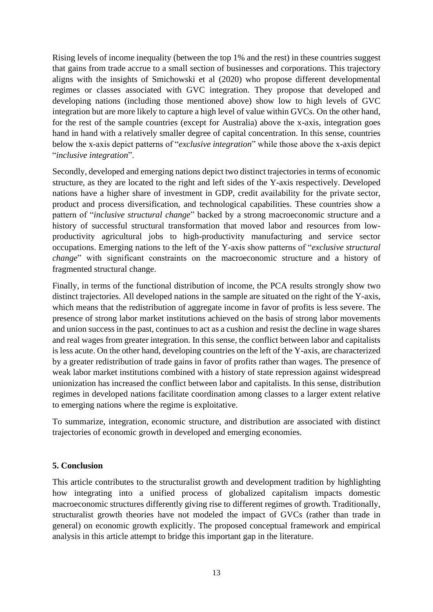Rising levels of income inequality (between the top 1% and the rest) in these countries suggest that gains from trade accrue to a small section of businesses and corporations. This trajectory aligns with the insights of Smichowski et al (2020) who propose different developmental regimes or classes associated with GVC integration. They propose that developed and developing nations (including those mentioned above) show low to high levels of GVC integration but are more likely to capture a high level of value within GVCs. On the other hand, for the rest of the sample countries (except for Australia) above the x-axis, integration goes hand in hand with a relatively smaller degree of capital concentration. In this sense, countries below the x-axis depict patterns of "*exclusive integration*" while those above the x-axis depict "*inclusive integration*".

Secondly, developed and emerging nations depict two distinct trajectories in terms of economic structure, as they are located to the right and left sides of the Y-axis respectively. Developed nations have a higher share of investment in GDP, credit availability for the private sector, product and process diversification, and technological capabilities. These countries show a pattern of "*inclusive structural change*" backed by a strong macroeconomic structure and a history of successful structural transformation that moved labor and resources from lowproductivity agricultural jobs to high-productivity manufacturing and service sector occupations. Emerging nations to the left of the Y-axis show patterns of "*exclusive structural change*" with significant constraints on the macroeconomic structure and a history of fragmented structural change.

Finally, in terms of the functional distribution of income, the PCA results strongly show two distinct trajectories. All developed nations in the sample are situated on the right of the Y-axis, which means that the redistribution of aggregate income in favor of profits is less severe. The presence of strong labor market institutions achieved on the basis of strong labor movements and union success in the past, continues to act as a cushion and resist the decline in wage shares and real wages from greater integration. In this sense, the conflict between labor and capitalists is less acute. On the other hand, developing countries on the left of the Y-axis, are characterized by a greater redistribution of trade gains in favor of profits rather than wages. The presence of weak labor market institutions combined with a history of state repression against widespread unionization has increased the conflict between labor and capitalists. In this sense, distribution regimes in developed nations facilitate coordination among classes to a larger extent relative to emerging nations where the regime is exploitative.

To summarize, integration, economic structure, and distribution are associated with distinct trajectories of economic growth in developed and emerging economies.

# **5. Conclusion**

This article contributes to the structuralist growth and development tradition by highlighting how integrating into a unified process of globalized capitalism impacts domestic macroeconomic structures differently giving rise to different regimes of growth. Traditionally, structuralist growth theories have not modeled the impact of GVCs (rather than trade in general) on economic growth explicitly. The proposed conceptual framework and empirical analysis in this article attempt to bridge this important gap in the literature.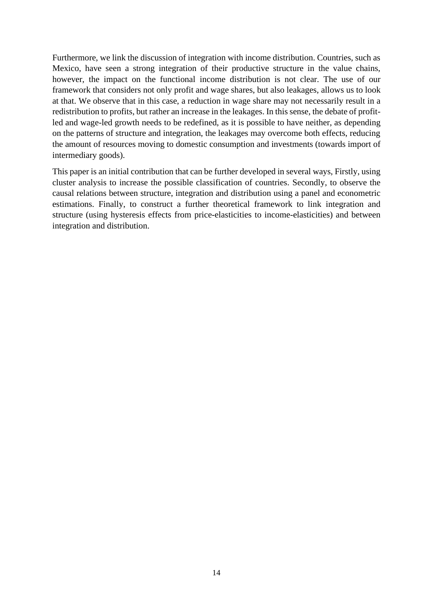Furthermore, we link the discussion of integration with income distribution. Countries, such as Mexico, have seen a strong integration of their productive structure in the value chains, however, the impact on the functional income distribution is not clear. The use of our framework that considers not only profit and wage shares, but also leakages, allows us to look at that. We observe that in this case, a reduction in wage share may not necessarily result in a redistribution to profits, but rather an increase in the leakages. In this sense, the debate of profitled and wage-led growth needs to be redefined, as it is possible to have neither, as depending on the patterns of structure and integration, the leakages may overcome both effects, reducing the amount of resources moving to domestic consumption and investments (towards import of intermediary goods).

This paper is an initial contribution that can be further developed in several ways, Firstly, using cluster analysis to increase the possible classification of countries. Secondly, to observe the causal relations between structure, integration and distribution using a panel and econometric estimations. Finally, to construct a further theoretical framework to link integration and structure (using hysteresis effects from price-elasticities to income-elasticities) and between integration and distribution.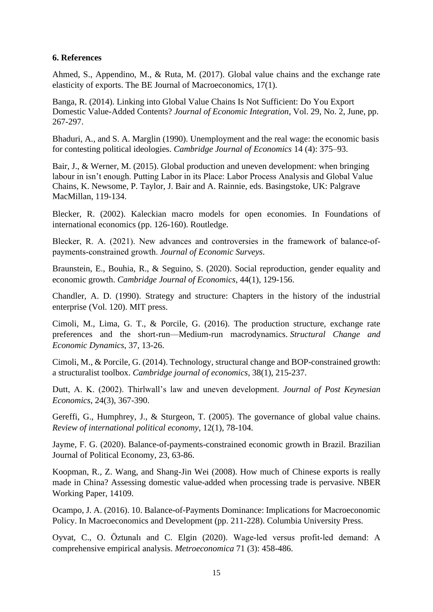### **6. References**

Ahmed, S., Appendino, M., & Ruta, M. (2017). Global value chains and the exchange rate elasticity of exports. The BE Journal of Macroeconomics, 17(1).

Banga, R. (2014). Linking into Global Value Chains Is Not Sufficient: Do You Export Domestic Value-Added Contents? *Journal of Economic Integration*, Vol. 29, No. 2, June, pp. 267-297.

Bhaduri, A., and S. A. Marglin (1990). Unemployment and the real wage: the economic basis for contesting political ideologies. *Cambridge Journal of Economics* 14 (4): 375–93.

Bair, J., & Werner, M. (2015). Global production and uneven development: when bringing labour in isn't enough. Putting Labor in its Place: Labor Process Analysis and Global Value Chains, K. Newsome, P. Taylor, J. Bair and A. Rainnie, eds. Basingstoke, UK: Palgrave MacMillan, 119-134.

Blecker, R. (2002). Kaleckian macro models for open economies. In Foundations of international economics (pp. 126-160). Routledge.

Blecker, R. A. (2021). New advances and controversies in the framework of balance-ofpayments‐constrained growth. *Journal of Economic Surveys*.

Braunstein, E., Bouhia, R., & Seguino, S. (2020). Social reproduction, gender equality and economic growth. *Cambridge Journal of Economics*, 44(1), 129-156.

Chandler, A. D. (1990). Strategy and structure: Chapters in the history of the industrial enterprise (Vol. 120). MIT press.

Cimoli, M., Lima, G. T., & Porcile, G. (2016). The production structure, exchange rate preferences and the short-run—Medium-run macrodynamics. *Structural Change and Economic Dynamics*, 37, 13-26.

Cimoli, M., & Porcile, G. (2014). Technology, structural change and BOP-constrained growth: a structuralist toolbox. *Cambridge journal of economics*, 38(1), 215-237.

Dutt, A. K. (2002). Thirlwall's law and uneven development. *Journal of Post Keynesian Economics*, 24(3), 367-390.

Gereffi, G., Humphrey, J., & Sturgeon, T. (2005). The governance of global value chains. *Review of international political economy*, 12(1), 78-104.

Jayme, F. G. (2020). Balance-of-payments-constrained economic growth in Brazil. Brazilian Journal of Political Economy, 23, 63-86.

Koopman, R., Z. Wang, and Shang-Jin Wei (2008). How much of Chinese exports is really made in China? Assessing domestic value-added when processing trade is pervasive. NBER Working Paper, 14109.

Ocampo, J. A. (2016). 10. Balance-of-Payments Dominance: Implications for Macroeconomic Policy. In Macroeconomics and Development (pp. 211-228). Columbia University Press.

Oyvat, C., O. [Öztunalı](https://onlinelibrary.wiley.com/action/doSearch?ContribAuthorStored=%C3%96ztunal%C4%B1%2C+O%C4%9Fuz) and C. Elgin (2020). Wage‐led versus profit‐led demand: A comprehensive empirical analysis. *Metroeconomica* [71 \(3\)](https://onlinelibrary.wiley.com/toc/1467999x/2020/71/3): 458-486.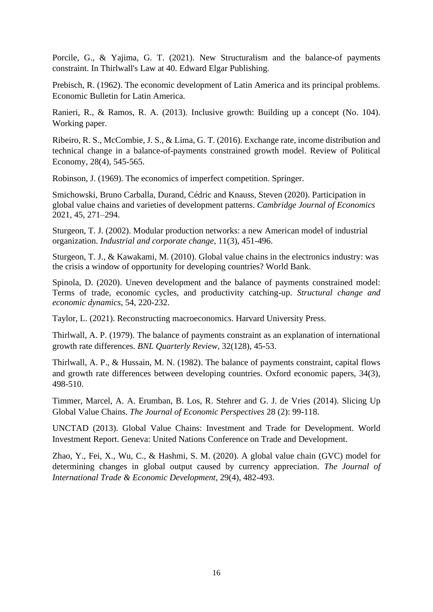Porcile, G., & Yajima, G. T. (2021). New Structuralism and the balance-of payments constraint. In Thirlwall's Law at 40. Edward Elgar Publishing.

Prebisch, R. (1962). The economic development of Latin America and its principal problems. Economic Bulletin for Latin America.

Ranieri, R., & Ramos, R. A. (2013). Inclusive growth: Building up a concept (No. 104). Working paper.

Ribeiro, R. S., McCombie, J. S., & Lima, G. T. (2016). Exchange rate, income distribution and technical change in a balance-of-payments constrained growth model. Review of Political Economy, 28(4), 545-565.

Robinson, J. (1969). The economics of imperfect competition. Springer.

Smichowski, Bruno Carballa, Durand, Cédric and Knauss, Steven (2020). Participation in global value chains and varieties of development patterns. *Cambridge Journal of Economics*  2021, 45, 271–294.

Sturgeon, T. J. (2002). Modular production networks: a new American model of industrial organization. *Industrial and corporate change*, 11(3), 451-496.

Sturgeon, T. J., & Kawakami, M. (2010). Global value chains in the electronics industry: was the crisis a window of opportunity for developing countries? World Bank.

Spinola, D. (2020). Uneven development and the balance of payments constrained model: Terms of trade, economic cycles, and productivity catching-up. *Structural change and economic dynamics*, 54, 220-232.

Taylor, L. (2021). Reconstructing macroeconomics. Harvard University Press.

Thirlwall, A. P. (1979). The balance of payments constraint as an explanation of international growth rate differences. *BNL Quarterly Review*, 32(128), 45-53.

Thirlwall, A. P., & Hussain, M. N. (1982). The balance of payments constraint, capital flows and growth rate differences between developing countries. Oxford economic papers, 34(3), 498-510.

Timmer, Marcel, A. A. Erumban, B. Los, R. Stehrer and G. J. de Vries (2014). Slicing Up Global Value Chains. *The Journal of Economic Perspectives* 28 (2): 99-118.

UNCTAD (2013). Global Value Chains: Investment and Trade for Development. World Investment Report. Geneva: United Nations Conference on Trade and Development.

Zhao, Y., Fei, X., Wu, C., & Hashmi, S. M. (2020). A global value chain (GVC) model for determining changes in global output caused by currency appreciation. *The Journal of International Trade & Economic Development*, 29(4), 482-493.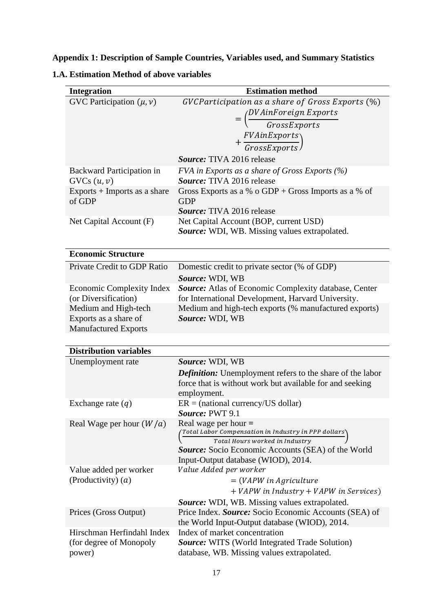**Appendix 1: Description of Sample Countries, Variables used, and Summary Statistics** 

**1.A. Estimation Method of above variables** 

| <b>Integration</b>                            | <b>Estimation method</b>                                                        |
|-----------------------------------------------|---------------------------------------------------------------------------------|
| GVC Participation $(\mu, \nu)$                | GVCParticipation as a share of Gross Exports (%)                                |
|                                               |                                                                                 |
|                                               | $=\left(\frac{DVAinForeign\,Express}{GrossExpress} \right)$                     |
|                                               |                                                                                 |
|                                               | $+\frac{FVAinExports}{GrossExports}$                                            |
|                                               | <b>Source:</b> TIVA 2016 release                                                |
| <b>Backward Participation in</b>              | FVA in Exports as a share of Gross Exports $(%)$                                |
| GVCs (u, v)                                   | Source: TIVA 2016 release                                                       |
| $Exports + Imports$ as a share                | Gross Exports as a % o GDP + Gross Imports as a % of                            |
| of GDP                                        | <b>GDP</b>                                                                      |
|                                               | Source: TIVA 2016 release                                                       |
| Net Capital Account (F)                       | Net Capital Account (BOP, current USD)                                          |
|                                               | Source: WDI, WB. Missing values extrapolated.                                   |
|                                               |                                                                                 |
| <b>Economic Structure</b>                     |                                                                                 |
| Private Credit to GDP Ratio                   | Domestic credit to private sector (% of GDP)                                    |
|                                               | Source: WDI, WB                                                                 |
| <b>Economic Complexity Index</b>              | <b>Source:</b> Atlas of Economic Complexity database, Center                    |
| (or Diversification)                          | for International Development, Harvard University.                              |
| Medium and High-tech<br>Exports as a share of | Medium and high-tech exports (% manufactured exports)<br>Source: WDI, WB        |
| <b>Manufactured Exports</b>                   |                                                                                 |
|                                               |                                                                                 |
| <b>Distribution variables</b>                 |                                                                                 |
| Unemployment rate                             | Source: WDI, WB                                                                 |
|                                               | <b>Definition:</b> Unemployment refers to the share of the labor                |
|                                               | force that is without work but available for and seeking                        |
|                                               | employment.                                                                     |
| Exchange rate $(q)$                           | $ER = (national currency/US dollar)$                                            |
|                                               | Source: PWT 9.1                                                                 |
| Real Wage per hour $(W/a)$                    | Real wage per hour $=$<br>(Total Labor Compensation in Industry in PPP dollars) |
|                                               | Total Hours worked in Industry                                                  |
|                                               | Source: Socio Economic Accounts (SEA) of the World                              |
|                                               | Input-Output database (WIOD), 2014.                                             |
| Value added per worker                        | Value Added per worker                                                          |
| (Productivity) $(a)$                          | $= (VAPW)$ in Agriculture                                                       |
|                                               | + VAPW in Industry + VAPW in Services)                                          |
|                                               | <b>Source:</b> WDI, WB. Missing values extrapolated.                            |
| Prices (Gross Output)                         | Price Index. Source: Socio Economic Accounts (SEA) of                           |
|                                               | the World Input-Output database (WIOD), 2014.                                   |
| Hirschman Herfindahl Index                    | Index of market concentration                                                   |
| (for degree of Monopoly                       | <b>Source:</b> WITS (World Integrated Trade Solution)                           |
| power)                                        | database, WB. Missing values extrapolated.                                      |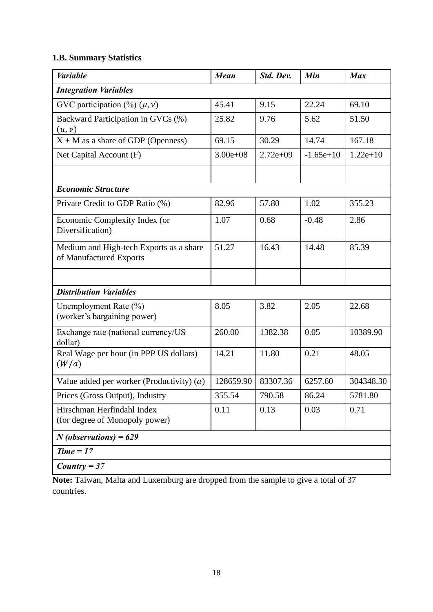# **1.B. Summary Statistics**

| <b>Variable</b>                                                    | <b>Mean</b>  | Std. Dev.  | Min         | <b>Max</b> |
|--------------------------------------------------------------------|--------------|------------|-------------|------------|
| <b>Integration Variables</b>                                       |              |            |             |            |
| GVC participation $(\%) (\mu, \nu)$                                | 45.41        | 9.15       | 22.24       | 69.10      |
| Backward Participation in GVCs (%)<br>(u, v)                       | 25.82        | 9.76       | 5.62        | 51.50      |
| $X + M$ as a share of GDP (Openness)                               | 69.15        | 30.29      | 14.74       | 167.18     |
| Net Capital Account (F)                                            | $3.00e + 08$ | $2.72e+09$ | $-1.65e+10$ | $1.22e+10$ |
|                                                                    |              |            |             |            |
| <b>Economic Structure</b>                                          |              |            |             |            |
| Private Credit to GDP Ratio (%)                                    | 82.96        | 57.80      | 1.02        | 355.23     |
| Economic Complexity Index (or<br>Diversification)                  | 1.07         | 0.68       | $-0.48$     | 2.86       |
| Medium and High-tech Exports as a share<br>of Manufactured Exports | 51.27        | 16.43      | 14.48       | 85.39      |
|                                                                    |              |            |             |            |
| <b>Distribution Variables</b>                                      |              |            |             |            |
| Unemployment Rate (%)<br>(worker's bargaining power)               | 8.05         | 3.82       | 2.05        | 22.68      |
| Exchange rate (national currency/US<br>dollar)                     | 260.00       | 1382.38    | 0.05        | 10389.90   |
| Real Wage per hour (in PPP US dollars)<br>(W/a)                    | 14.21        | 11.80      | 0.21        | 48.05      |
| Value added per worker (Productivity) $(a)$                        | 128659.90    | 83307.36   | 6257.60     | 304348.30  |
| Prices (Gross Output), Industry                                    | 355.54       | 790.58     | 86.24       | 5781.80    |
| Hirschman Herfindahl Index<br>(for degree of Monopoly power)       | 0.11         | 0.13       | 0.03        | 0.71       |
| $N$ (observations) = 629                                           |              |            |             |            |
| $Time = 17$                                                        |              |            |             |            |
| $Country = 37$                                                     |              |            |             |            |

**Note:** Taiwan, Malta and Luxemburg are dropped from the sample to give a total of 37 countries.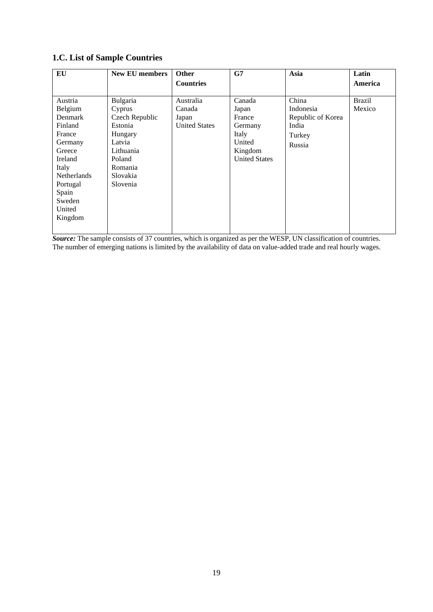# **1.C. List of Sample Countries**

| EU                 | <b>New EU members</b> | <b>Other</b>         | G7                   | Asia              | Latin         |
|--------------------|-----------------------|----------------------|----------------------|-------------------|---------------|
|                    |                       | <b>Countries</b>     |                      |                   | America       |
|                    |                       |                      |                      |                   |               |
| Austria            | Bulgaria              | Australia            | Canada               | China             | <b>Brazil</b> |
| Belgium            | Cyprus                | Canada               | Japan                | Indonesia         | Mexico        |
| Denmark            | Czech Republic        | Japan                | France               | Republic of Korea |               |
| Finland            | Estonia               | <b>United States</b> | Germany              | India             |               |
| France             | Hungary               |                      | Italy                | Turkey            |               |
| Germany            | Latvia                |                      | United               | Russia            |               |
| Greece             | Lithuania             |                      | Kingdom              |                   |               |
| Ireland            | Poland                |                      | <b>United States</b> |                   |               |
| Italy              | Romania               |                      |                      |                   |               |
| <b>Netherlands</b> | Slovakia              |                      |                      |                   |               |
| Portugal           | Slovenia              |                      |                      |                   |               |
| Spain              |                       |                      |                      |                   |               |
| Sweden             |                       |                      |                      |                   |               |
| United             |                       |                      |                      |                   |               |
| Kingdom            |                       |                      |                      |                   |               |
|                    |                       |                      |                      |                   |               |

*Source:* The sample consists of 37 countries, which is organized as per the WESP, UN classification of countries. The number of emerging nations is limited by the availability of data on value-added trade and real hourly wages.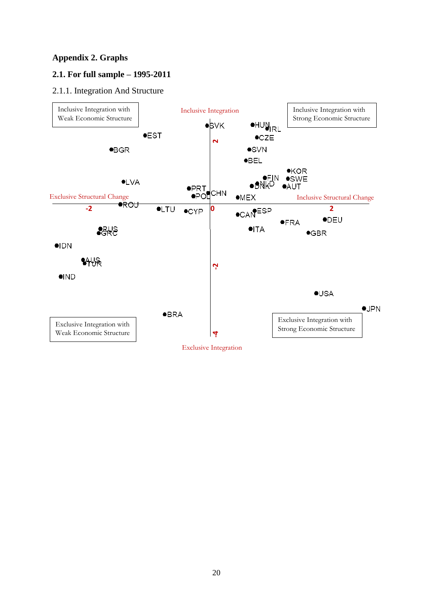# **Appendix 2. Graphs**

# **2.1. For full sample – 1995-2011**

# 2.1.1. Integration And Structure



Exclusive Integration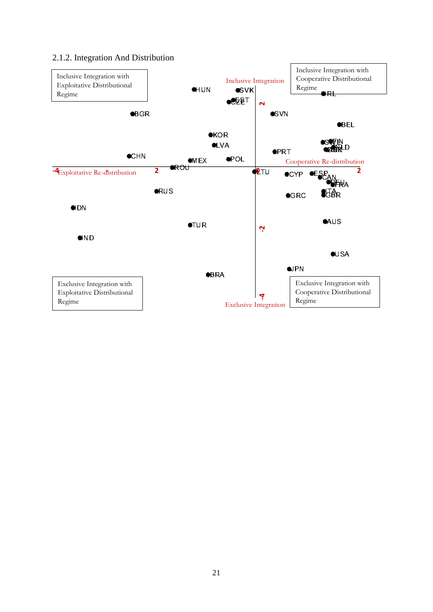# 2.1.2. Integration And Distribution

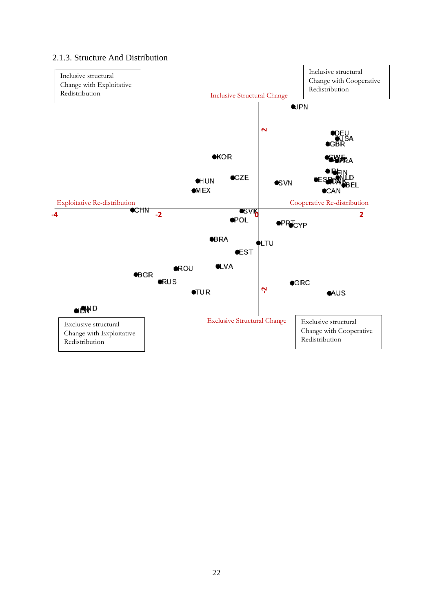### 2.1.3. Structure And Distribution

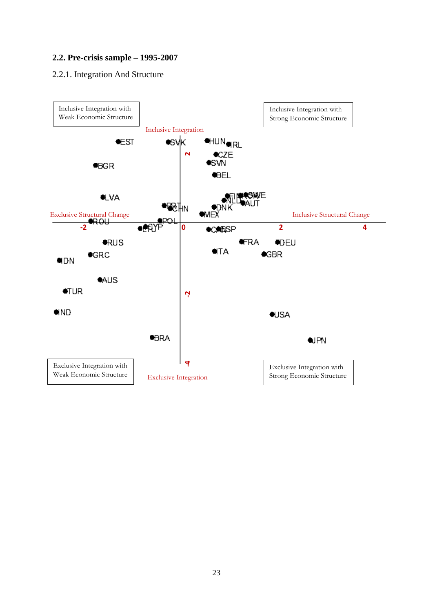# **2.2. Pre-crisis sample – 1995-2007**

### 2.2.1. Integration And Structure

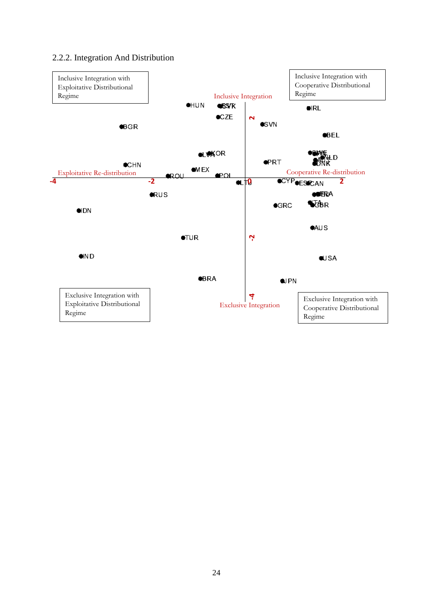# 2.2.2. Integration And Distribution

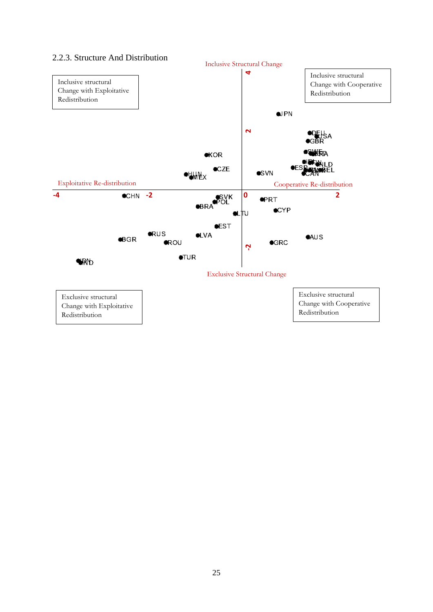### 2.2.3. Structure And Distribution

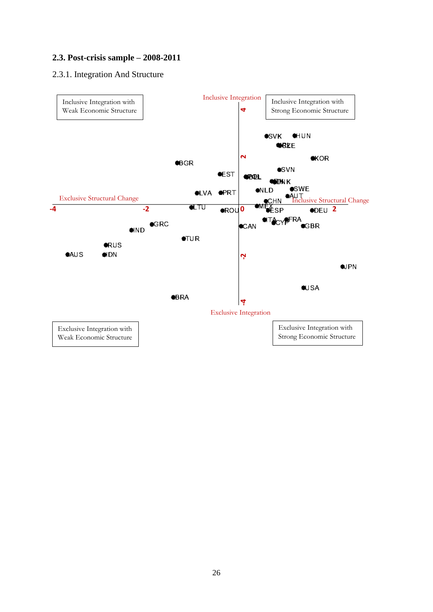# **2.3. Post-crisis sample – 2008-2011**

### 2.3.1. Integration And Structure

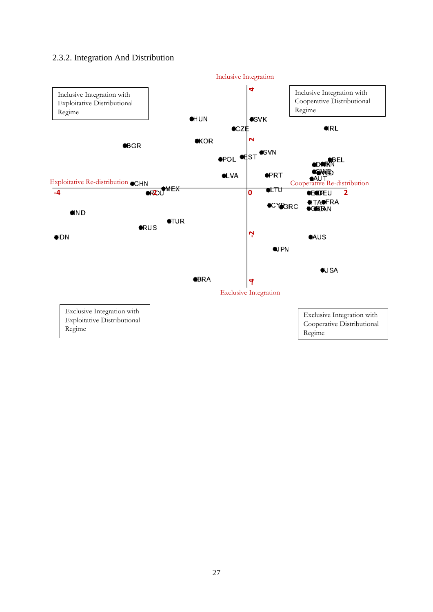# 2.3.2. Integration And Distribution

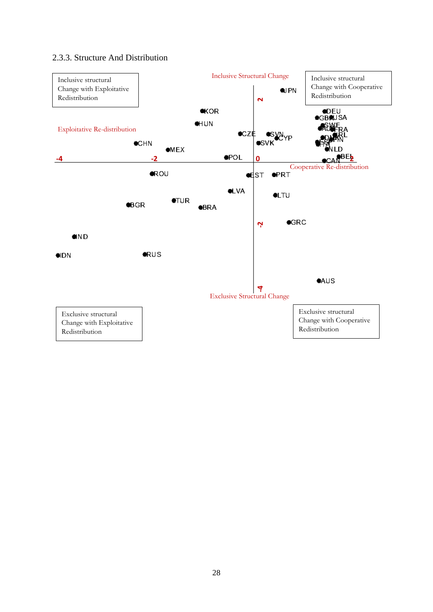## 2.3.3. Structure And Distribution